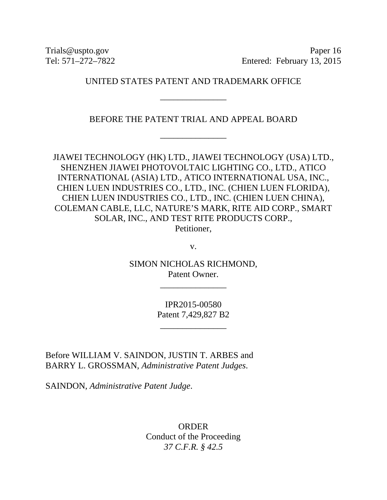Trials@uspto.gov Paper 16 Tel: 571–272–7822 Entered: February 13, 2015

## UNITED STATES PATENT AND TRADEMARK OFFICE

\_\_\_\_\_\_\_\_\_\_\_\_\_\_\_

BEFORE THE PATENT TRIAL AND APPEAL BOARD

\_\_\_\_\_\_\_\_\_\_\_\_\_\_\_

JIAWEI TECHNOLOGY (HK) LTD., JIAWEI TECHNOLOGY (USA) LTD., SHENZHEN JIAWEI PHOTOVOLTAIC LIGHTING CO., LTD., ATICO INTERNATIONAL (ASIA) LTD., ATICO INTERNATIONAL USA, INC., CHIEN LUEN INDUSTRIES CO., LTD., INC. (CHIEN LUEN FLORIDA), CHIEN LUEN INDUSTRIES CO., LTD., INC. (CHIEN LUEN CHINA), COLEMAN CABLE, LLC, NATURE'S MARK, RITE AID CORP., SMART SOLAR, INC., AND TEST RITE PRODUCTS CORP., Petitioner,

v.

SIMON NICHOLAS RICHMOND, Patent Owner.

\_\_\_\_\_\_\_\_\_\_\_\_\_\_\_

IPR2015-00580 Patent 7,429,827 B2

\_\_\_\_\_\_\_\_\_\_\_\_\_\_\_

Before WILLIAM V. SAINDON, JUSTIN T. ARBES and BARRY L. GROSSMAN, *Administrative Patent Judges*.

SAINDON, *Administrative Patent Judge*.

ORDER Conduct of the Proceeding *37 C.F.R. § 42.5*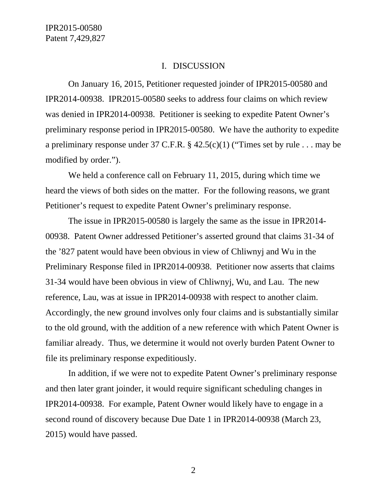## I. DISCUSSION

On January 16, 2015, Petitioner requested joinder of IPR2015-00580 and IPR2014-00938. IPR2015-00580 seeks to address four claims on which review was denied in IPR2014-00938. Petitioner is seeking to expedite Patent Owner's preliminary response period in IPR2015-00580. We have the authority to expedite a preliminary response under 37 C.F.R. § 42.5(c)(1) ("Times set by rule . . . may be modified by order.").

We held a conference call on February 11, 2015, during which time we heard the views of both sides on the matter. For the following reasons, we grant Petitioner's request to expedite Patent Owner's preliminary response.

The issue in IPR2015-00580 is largely the same as the issue in IPR2014- 00938. Patent Owner addressed Petitioner's asserted ground that claims 31-34 of the '827 patent would have been obvious in view of Chliwnyj and Wu in the Preliminary Response filed in IPR2014-00938. Petitioner now asserts that claims 31-34 would have been obvious in view of Chliwnyj, Wu, and Lau. The new reference, Lau, was at issue in IPR2014-00938 with respect to another claim. Accordingly, the new ground involves only four claims and is substantially similar to the old ground, with the addition of a new reference with which Patent Owner is familiar already. Thus, we determine it would not overly burden Patent Owner to file its preliminary response expeditiously.

In addition, if we were not to expedite Patent Owner's preliminary response and then later grant joinder, it would require significant scheduling changes in IPR2014-00938. For example, Patent Owner would likely have to engage in a second round of discovery because Due Date 1 in IPR2014-00938 (March 23, 2015) would have passed.

2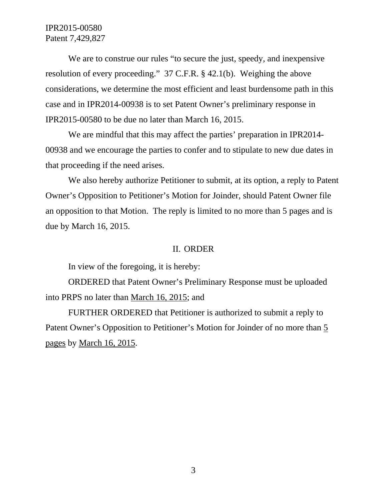## IPR2015-00580 Patent 7,429,827

We are to construe our rules "to secure the just, speedy, and inexpensive resolution of every proceeding." 37 C.F.R. § 42.1(b). Weighing the above considerations, we determine the most efficient and least burdensome path in this case and in IPR2014-00938 is to set Patent Owner's preliminary response in IPR2015-00580 to be due no later than March 16, 2015.

We are mindful that this may affect the parties' preparation in IPR2014- 00938 and we encourage the parties to confer and to stipulate to new due dates in that proceeding if the need arises.

We also hereby authorize Petitioner to submit, at its option, a reply to Patent Owner's Opposition to Petitioner's Motion for Joinder, should Patent Owner file an opposition to that Motion. The reply is limited to no more than 5 pages and is due by March 16, 2015.

## II. ORDER

In view of the foregoing, it is hereby:

ORDERED that Patent Owner's Preliminary Response must be uploaded into PRPS no later than March 16, 2015; and

FURTHER ORDERED that Petitioner is authorized to submit a reply to Patent Owner's Opposition to Petitioner's Motion for Joinder of no more than 5 pages by March 16, 2015.

3